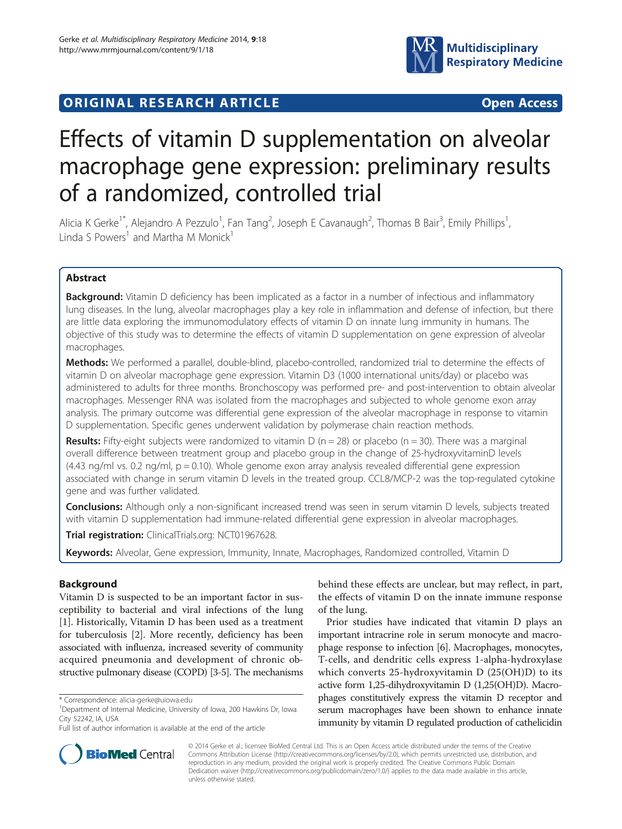

## **ORIGINAL RESEARCH ARTICLE CONSUMING ACCESS**

# Effects of vitamin D supplementation on alveolar macrophage gene expression: preliminary results of a randomized, controlled trial

Alicia K Gerke<sup>1\*</sup>, Alejandro A Pezzulo<sup>1</sup>, Fan Tang<sup>2</sup>, Joseph E Cavanaugh<sup>2</sup>, Thomas B Bair<sup>3</sup>, Emily Phillips<sup>1</sup> , Linda S Powers<sup>1</sup> and Martha M Monick<sup>1</sup>

## Abstract

**Background:** Vitamin D deficiency has been implicated as a factor in a number of infectious and inflammatory lung diseases. In the lung, alveolar macrophages play a key role in inflammation and defense of infection, but there are little data exploring the immunomodulatory effects of vitamin D on innate lung immunity in humans. The objective of this study was to determine the effects of vitamin D supplementation on gene expression of alveolar macrophages.

Methods: We performed a parallel, double-blind, placebo-controlled, randomized trial to determine the effects of vitamin D on alveolar macrophage gene expression. Vitamin D3 (1000 international units/day) or placebo was administered to adults for three months. Bronchoscopy was performed pre- and post-intervention to obtain alveolar macrophages. Messenger RNA was isolated from the macrophages and subjected to whole genome exon array analysis. The primary outcome was differential gene expression of the alveolar macrophage in response to vitamin D supplementation. Specific genes underwent validation by polymerase chain reaction methods.

**Results:** Fifty-eight subjects were randomized to vitamin D ( $n = 28$ ) or placebo ( $n = 30$ ). There was a marginal overall difference between treatment group and placebo group in the change of 25-hydroxyvitaminD levels  $(4.43 \text{ ng/ml vs. } 0.2 \text{ ng/ml}, p = 0.10)$ . Whole genome exon array analysis revealed differential gene expression associated with change in serum vitamin D levels in the treated group. CCL8/MCP-2 was the top-regulated cytokine gene and was further validated.

Conclusions: Although only a non-significant increased trend was seen in serum vitamin D levels, subjects treated with vitamin D supplementation had immune-related differential gene expression in alveolar macrophages.

Trial registration: ClinicalTrials.org: [NCT01967628](http://www.clinicaltrials.gov/ct2/show/NCT01967628).

Keywords: Alveolar, Gene expression, Immunity, Innate, Macrophages, Randomized controlled, Vitamin D

## Background

Vitamin D is suspected to be an important factor in susceptibility to bacterial and viral infections of the lung [[1\]](#page-6-0). Historically, Vitamin D has been used as a treatment for tuberculosis [\[2\]](#page-6-0). More recently, deficiency has been associated with influenza, increased severity of community acquired pneumonia and development of chronic obstructive pulmonary disease (COPD) [\[3-5\]](#page-6-0). The mechanisms

behind these effects are unclear, but may reflect, in part, the effects of vitamin D on the innate immune response of the lung.

Prior studies have indicated that vitamin D plays an important intracrine role in serum monocyte and macrophage response to infection [\[6](#page-6-0)]. Macrophages, monocytes, T-cells, and dendritic cells express 1-alpha-hydroxylase which converts 25-hydroxyvitamin D (25(OH)D) to its active form 1,25-dihydroxyvitamin D (1,25(OH)D). Macrophages constitutively express the vitamin D receptor and serum macrophages have been shown to enhance innate immunity by vitamin D regulated production of cathelicidin



© 2014 Gerke et al.; licensee BioMed Central Ltd. This is an Open Access article distributed under the terms of the Creative Commons Attribution License [\(http://creativecommons.org/licenses/by/2.0\)](http://creativecommons.org/licenses/by/2.0), which permits unrestricted use, distribution, and reproduction in any medium, provided the original work is properly credited. The Creative Commons Public Domain Dedication waiver [\(http://creativecommons.org/publicdomain/zero/1.0/](http://creativecommons.org/publicdomain/zero/1.0/)) applies to the data made available in this article, unless otherwise stated.

<sup>\*</sup> Correspondence: [alicia-gerke@uiowa.edu](mailto:alicia-gerke@uiowa.edu) <sup>1</sup>

<sup>&</sup>lt;sup>1</sup>Department of Internal Medicine, University of Iowa, 200 Hawkins Dr, Iowa City 52242, IA, USA

Full list of author information is available at the end of the article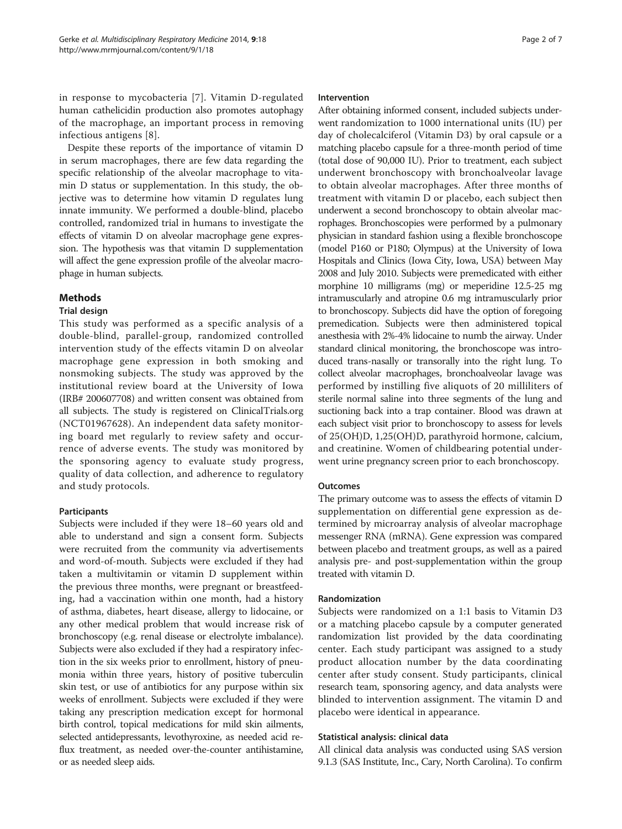in response to mycobacteria [[7\]](#page-6-0). Vitamin D-regulated human cathelicidin production also promotes autophagy of the macrophage, an important process in removing infectious antigens [\[8](#page-6-0)].

Despite these reports of the importance of vitamin D in serum macrophages, there are few data regarding the specific relationship of the alveolar macrophage to vitamin D status or supplementation. In this study, the objective was to determine how vitamin D regulates lung innate immunity. We performed a double-blind, placebo controlled, randomized trial in humans to investigate the effects of vitamin D on alveolar macrophage gene expression. The hypothesis was that vitamin D supplementation will affect the gene expression profile of the alveolar macrophage in human subjects.

## Methods

#### Trial design

This study was performed as a specific analysis of a double-blind, parallel-group, randomized controlled intervention study of the effects vitamin D on alveolar macrophage gene expression in both smoking and nonsmoking subjects. The study was approved by the institutional review board at the University of Iowa (IRB# 200607708) and written consent was obtained from all subjects. The study is registered on ClinicalTrials.org ([NCT01967628\)](http://www.clinicaltrials.gov/NCT01967628). An independent data safety monitoring board met regularly to review safety and occurrence of adverse events. The study was monitored by the sponsoring agency to evaluate study progress, quality of data collection, and adherence to regulatory and study protocols.

## Participants

Subjects were included if they were 18–60 years old and able to understand and sign a consent form. Subjects were recruited from the community via advertisements and word-of-mouth. Subjects were excluded if they had taken a multivitamin or vitamin D supplement within the previous three months, were pregnant or breastfeeding, had a vaccination within one month, had a history of asthma, diabetes, heart disease, allergy to lidocaine, or any other medical problem that would increase risk of bronchoscopy (e.g. renal disease or electrolyte imbalance). Subjects were also excluded if they had a respiratory infection in the six weeks prior to enrollment, history of pneumonia within three years, history of positive tuberculin skin test, or use of antibiotics for any purpose within six weeks of enrollment. Subjects were excluded if they were taking any prescription medication except for hormonal birth control, topical medications for mild skin ailments, selected antidepressants, levothyroxine, as needed acid reflux treatment, as needed over-the-counter antihistamine, or as needed sleep aids.

#### Intervention

After obtaining informed consent, included subjects underwent randomization to 1000 international units (IU) per day of cholecalciferol (Vitamin D3) by oral capsule or a matching placebo capsule for a three-month period of time (total dose of 90,000 IU). Prior to treatment, each subject underwent bronchoscopy with bronchoalveolar lavage to obtain alveolar macrophages. After three months of treatment with vitamin D or placebo, each subject then underwent a second bronchoscopy to obtain alveolar macrophages. Bronchoscopies were performed by a pulmonary physician in standard fashion using a flexible bronchoscope (model P160 or P180; Olympus) at the University of Iowa Hospitals and Clinics (Iowa City, Iowa, USA) between May 2008 and July 2010. Subjects were premedicated with either morphine 10 milligrams (mg) or meperidine 12.5-25 mg intramuscularly and atropine 0.6 mg intramuscularly prior to bronchoscopy. Subjects did have the option of foregoing premedication. Subjects were then administered topical anesthesia with 2%-4% lidocaine to numb the airway. Under standard clinical monitoring, the bronchoscope was introduced trans-nasally or transorally into the right lung. To collect alveolar macrophages, bronchoalveolar lavage was performed by instilling five aliquots of 20 milliliters of sterile normal saline into three segments of the lung and suctioning back into a trap container. Blood was drawn at each subject visit prior to bronchoscopy to assess for levels of 25(OH)D, 1,25(OH)D, parathyroid hormone, calcium, and creatinine. Women of childbearing potential underwent urine pregnancy screen prior to each bronchoscopy.

#### **Outcomes**

The primary outcome was to assess the effects of vitamin D supplementation on differential gene expression as determined by microarray analysis of alveolar macrophage messenger RNA (mRNA). Gene expression was compared between placebo and treatment groups, as well as a paired analysis pre- and post-supplementation within the group treated with vitamin D.

#### Randomization

Subjects were randomized on a 1:1 basis to Vitamin D3 or a matching placebo capsule by a computer generated randomization list provided by the data coordinating center. Each study participant was assigned to a study product allocation number by the data coordinating center after study consent. Study participants, clinical research team, sponsoring agency, and data analysts were blinded to intervention assignment. The vitamin D and placebo were identical in appearance.

#### Statistical analysis: clinical data

All clinical data analysis was conducted using SAS version 9.1.3 (SAS Institute, Inc., Cary, North Carolina). To confirm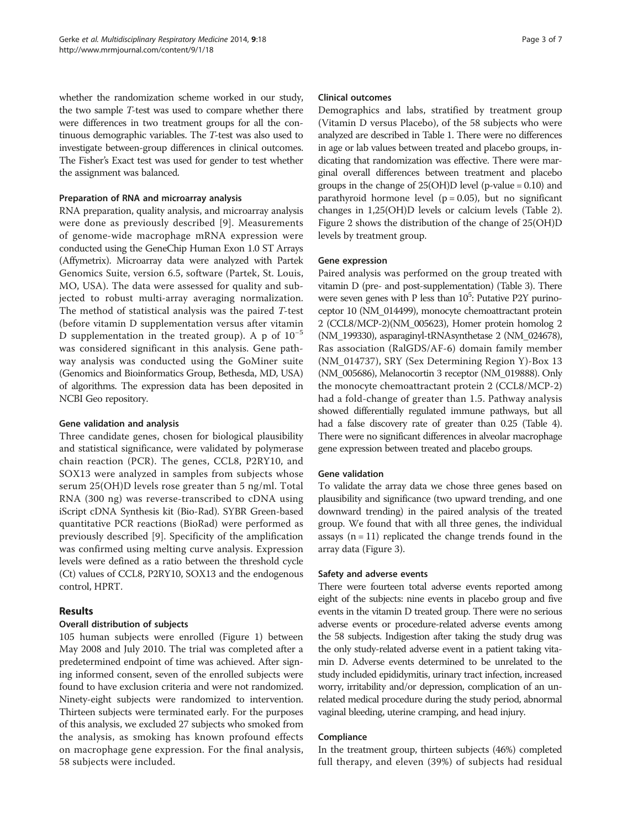whether the randomization scheme worked in our study, the two sample T-test was used to compare whether there were differences in two treatment groups for all the continuous demographic variables. The T-test was also used to investigate between-group differences in clinical outcomes. The Fisher's Exact test was used for gender to test whether the assignment was balanced.

#### Preparation of RNA and microarray analysis

RNA preparation, quality analysis, and microarray analysis were done as previously described [\[9\]](#page-6-0). Measurements of genome-wide macrophage mRNA expression were conducted using the GeneChip Human Exon 1.0 ST Arrays (Affymetrix). Microarray data were analyzed with Partek Genomics Suite, version 6.5, software (Partek, St. Louis, MO, USA). The data were assessed for quality and subjected to robust multi-array averaging normalization. The method of statistical analysis was the paired T-test (before vitamin D supplementation versus after vitamin D supplementation in the treated group). A p of 10−<sup>5</sup> was considered significant in this analysis. Gene pathway analysis was conducted using the GoMiner suite (Genomics and Bioinformatics Group, Bethesda, MD, USA) of algorithms. The expression data has been deposited in NCBI Geo repository.

#### Gene validation and analysis

Three candidate genes, chosen for biological plausibility and statistical significance, were validated by polymerase chain reaction (PCR). The genes, CCL8, P2RY10, and SOX13 were analyzed in samples from subjects whose serum 25(OH)D levels rose greater than 5 ng/ml. Total RNA (300 ng) was reverse-transcribed to cDNA using iScript cDNA Synthesis kit (Bio-Rad). SYBR Green-based quantitative PCR reactions (BioRad) were performed as previously described [[9\]](#page-6-0). Specificity of the amplification was confirmed using melting curve analysis. Expression levels were defined as a ratio between the threshold cycle (Ct) values of CCL8, P2RY10, SOX13 and the endogenous control, HPRT.

## Results

## Overall distribution of subjects

105 human subjects were enrolled (Figure [1\)](#page-3-0) between May 2008 and July 2010. The trial was completed after a predetermined endpoint of time was achieved. After signing informed consent, seven of the enrolled subjects were found to have exclusion criteria and were not randomized. Ninety-eight subjects were randomized to intervention. Thirteen subjects were terminated early. For the purposes of this analysis, we excluded 27 subjects who smoked from the analysis, as smoking has known profound effects on macrophage gene expression. For the final analysis, 58 subjects were included.

#### Clinical outcomes

Demographics and labs, stratified by treatment group (Vitamin D versus Placebo), of the 58 subjects who were analyzed are described in Table [1.](#page-3-0) There were no differences in age or lab values between treated and placebo groups, indicating that randomization was effective. There were marginal overall differences between treatment and placebo groups in the change of 25(OH)D level (p-value = 0.10) and parathyroid hormone level  $(p = 0.05)$ , but no significant changes in 1,25(OH)D levels or calcium levels (Table [2](#page-3-0)). Figure [2](#page-4-0) shows the distribution of the change of 25(OH)D levels by treatment group.

## Gene expression

Paired analysis was performed on the group treated with vitamin D (pre- and post-supplementation) (Table [3](#page-4-0)). There were seven genes with P less than  $10^5$ : Putative P2Y purinoceptor 10 (NM\_014499), monocyte chemoattractant protein 2 (CCL8/MCP-2)(NM\_005623), Homer protein homolog 2 (NM\_199330), asparaginyl-tRNAsynthetase 2 (NM\_024678), Ras association (RalGDS/AF-6) domain family member (NM\_014737), SRY (Sex Determining Region Y)-Box 13 (NM\_005686), Melanocortin 3 receptor (NM\_019888). Only the monocyte chemoattractant protein 2 (CCL8/MCP-2) had a fold-change of greater than 1.5. Pathway analysis showed differentially regulated immune pathways, but all had a false discovery rate of greater than 0.25 (Table [4](#page-4-0)). There were no significant differences in alveolar macrophage gene expression between treated and placebo groups.

## Gene validation

To validate the array data we chose three genes based on plausibility and significance (two upward trending, and one downward trending) in the paired analysis of the treated group. We found that with all three genes, the individual assays  $(n = 11)$  replicated the change trends found in the array data (Figure [3\)](#page-5-0).

## Safety and adverse events

There were fourteen total adverse events reported among eight of the subjects: nine events in placebo group and five events in the vitamin D treated group. There were no serious adverse events or procedure-related adverse events among the 58 subjects. Indigestion after taking the study drug was the only study-related adverse event in a patient taking vitamin D. Adverse events determined to be unrelated to the study included epididymitis, urinary tract infection, increased worry, irritability and/or depression, complication of an unrelated medical procedure during the study period, abnormal vaginal bleeding, uterine cramping, and head injury.

## Compliance

In the treatment group, thirteen subjects (46%) completed full therapy, and eleven (39%) of subjects had residual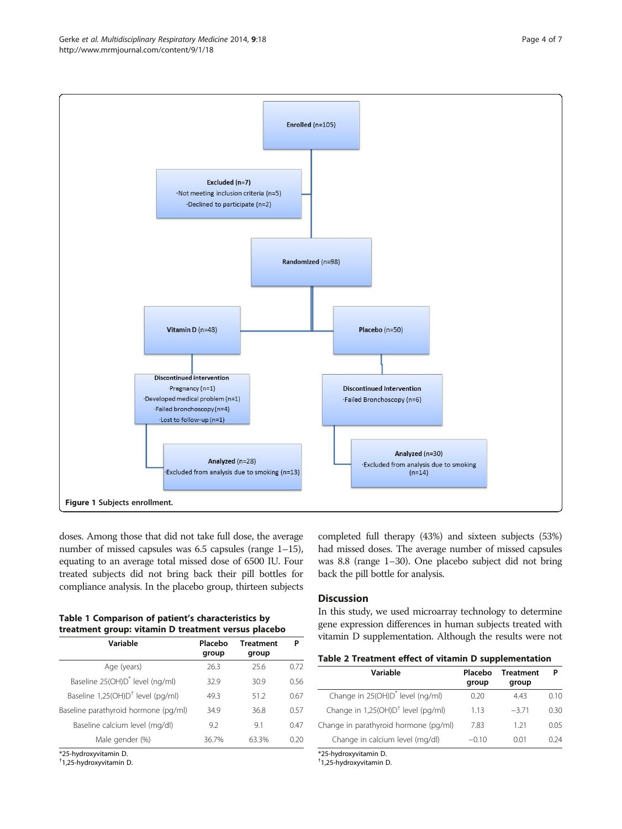<span id="page-3-0"></span>

doses. Among those that did not take full dose, the average number of missed capsules was 6.5 capsules (range 1–15), equating to an average total missed dose of 6500 IU. Four treated subjects did not bring back their pill bottles for compliance analysis. In the placebo group, thirteen subjects

Table 1 Comparison of patient's characteristics by treatment group: vitamin D treatment versus placebo

| Variable                                      | Placebo<br>group | <b>Treatment</b><br>group | Ρ    |
|-----------------------------------------------|------------------|---------------------------|------|
| Age (years)                                   | 26.3             | 25.6                      | 0.72 |
| Baseline 25(OH)D <sup>*</sup> level (ng/ml)   | 32.9             | 30.9                      | 0.56 |
| Baseline 1,25(OH)D <sup>†</sup> level (pg/ml) | 49.3             | 51.2                      | 0.67 |
| Baseline parathyroid hormone (pg/ml)          | 34.9             | 36.8                      | 0.57 |
| Baseline calcium level (mg/dl)                | 9.2              | 9.1                       | 0.47 |
| Male gender (%)                               | 36.7%            | 63.3%                     | 0.20 |

\*25-hydroxyvitamin D.

† 1,25-hydroxyvitamin D.

completed full therapy (43%) and sixteen subjects (53%) had missed doses. The average number of missed capsules was 8.8 (range 1–30). One placebo subject did not bring back the pill bottle for analysis.

#### **Discussion**

In this study, we used microarray technology to determine gene expression differences in human subjects treated with vitamin D supplementation. Although the results were not

|  |  |  |  |  |  | Table 2 Treatment effect of vitamin D supplementation |
|--|--|--|--|--|--|-------------------------------------------------------|
|--|--|--|--|--|--|-------------------------------------------------------|

| Variable                                       | Placebo<br>group | Treatment<br>group | P    |
|------------------------------------------------|------------------|--------------------|------|
| Change in 25(OH)D <sup>*</sup> level (ng/ml)   | 0.20             | 4.43               | 0.10 |
| Change in 1,25(OH)D <sup>+</sup> level (pq/ml) | 1.13             | $-371$             | 0.30 |
| Change in parathyroid hormone (pg/ml)          | 783              | 1 2 1              | 0.05 |
| Change in calcium level (mg/dl)                | $-0.10$          | 0.01               | O 24 |

\*25-hydroxyvitamin D.

† 1,25-hydroxyvitamin D.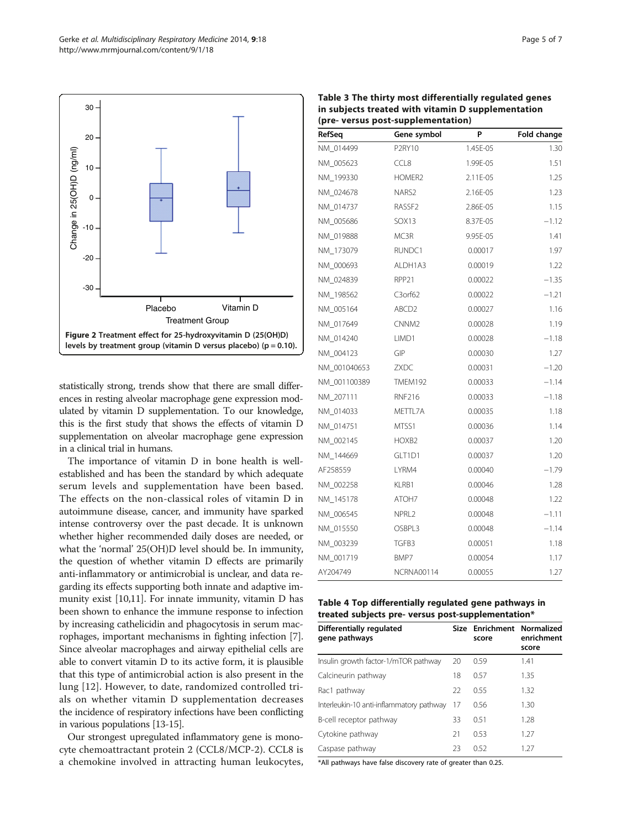statistically strong, trends show that there are small differences in resting alveolar macrophage gene expression modulated by vitamin D supplementation. To our knowledge, this is the first study that shows the effects of vitamin D supplementation on alveolar macrophage gene expression in a clinical trial in humans.

The importance of vitamin D in bone health is wellestablished and has been the standard by which adequate serum levels and supplementation have been based. The effects on the non-classical roles of vitamin D in autoimmune disease, cancer, and immunity have sparked intense controversy over the past decade. It is unknown whether higher recommended daily doses are needed, or what the 'normal' 25(OH)D level should be. In immunity, the question of whether vitamin D effects are primarily anti-inflammatory or antimicrobial is unclear, and data regarding its effects supporting both innate and adaptive immunity exist [\[10,11\]](#page-6-0). For innate immunity, vitamin D has been shown to enhance the immune response to infection by increasing cathelicidin and phagocytosis in serum macrophages, important mechanisms in fighting infection [[7](#page-6-0)]. Since alveolar macrophages and airway epithelial cells are able to convert vitamin D to its active form, it is plausible that this type of antimicrobial action is also present in the lung [[12\]](#page-6-0). However, to date, randomized controlled trials on whether vitamin D supplementation decreases the incidence of respiratory infections have been conflicting in various populations [\[13-15](#page-6-0)].

Our strongest upregulated inflammatory gene is monocyte chemoattractant protein 2 (CCL8/MCP-2). CCL8 is a chemokine involved in attracting human leukocytes,

| Table 3 The thirty most differentially regulated genes |
|--------------------------------------------------------|
| in subiects treated with vitamin D supplementation     |
| (pre- versus post-supplementation)                     |

| RefSeq       | Gene symbol        | P        | Fold change |
|--------------|--------------------|----------|-------------|
| NM_014499    | P2RY10             | 1.45E-05 | 1.30        |
| NM_005623    | CCL8               | 1.99E-05 | 1.51        |
| NM_199330    | HOMER <sub>2</sub> | 2.11E-05 | 1.25        |
| NM_024678    | NARS <sub>2</sub>  | 2.16E-05 | 1.23        |
| NM_014737    | RASSF2             | 2.86E-05 | 1.15        |
| NM_005686    | SOX13              | 8.37E-05 | $-1.12$     |
| NM_019888    | MC3R               | 9.95E-05 | 1.41        |
| NM_173079    | RUNDC1             | 0.00017  | 1.97        |
| NM_000693    | ALDH1A3            | 0.00019  | 1.22        |
| NM 024839    | RPP <sub>21</sub>  | 0.00022  | $-1.35$     |
| NM_198562    | C3orf62            | 0.00022  | $-1.21$     |
| NM_005164    | ABCD <sub>2</sub>  | 0.00027  | 1.16        |
| NM_017649    | CNNM <sub>2</sub>  | 0.00028  | 1.19        |
| NM_014240    | LIMD1              | 0.00028  | $-1.18$     |
| NM 004123    | GIP                | 0.00030  | 1.27        |
| NM_001040653 | ZXDC               | 0.00031  | $-1.20$     |
| NM_001100389 | TMEM192            | 0.00033  | $-1.14$     |
| NM_207111    | <b>RNF216</b>      | 0.00033  | $-1.18$     |
| NM_014033    | METTL7A            | 0.00035  | 1.18        |
| NM_014751    | MTSS1              | 0.00036  | 1.14        |
| NM 002145    | HOXB <sub>2</sub>  | 0.00037  | 1.20        |
| NM_144669    | GLT1D1             | 0.00037  | 1.20        |
| AF258559     | LYRM4              | 0.00040  | $-1.79$     |
| NM_002258    | KLRB1              | 0.00046  | 1.28        |
| NM_145178    | ATOH7              | 0.00048  | 1.22        |
| NM_006545    | NPRL <sub>2</sub>  | 0.00048  | $-1.11$     |
| NM_015550    | OSBPL3             | 0.00048  | $-1.14$     |
| NM_003239    | TGFB3              | 0.00051  | 1.18        |
| NM_001719    | BMP7               | 0.00054  | 1.17        |
| AY204749     | <b>NCRNA00114</b>  | 0.00055  | 1.27        |

|  |  |  | Table 4 Top differentially regulated gene pathways in |  |
|--|--|--|-------------------------------------------------------|--|
|  |  |  | treated subjects pre- versus post-supplementation*    |  |

| <b>Differentially regulated</b><br>gene pathways |    | Size Enrichment Normalized<br>score | enrichment<br>score |
|--------------------------------------------------|----|-------------------------------------|---------------------|
| Insulin growth factor-1/mTOR pathway             | 20 | 0.59                                | 1.41                |
| Calcineurin pathway                              | 18 | 0.57                                | 1.35                |
| Rac1 pathway                                     | 22 | 0.55                                | 1.32                |
| Interleukin-10 anti-inflammatory pathway         | 17 | 0.56                                | 1.30                |
| B-cell receptor pathway                          | 33 | 0.51                                | 1.28                |
| Cytokine pathway                                 | 21 | 0.53                                | 1.27                |
| Caspase pathway                                  | 23 | 052                                 | 1 27                |

\*All pathways have false discovery rate of greater than 0.25.

<span id="page-4-0"></span>-30 Placebo Vitamin D Change in 25(OH)D (ng/ml)<br>ناص<br>صا 0 10 20 30 -20 Treatment Group Figure 2 Treatment effect for 25-hydroxyvitamin D (25(OH)D) levels by treatment group (vitamin D versus placebo) ( $p = 0.10$ ).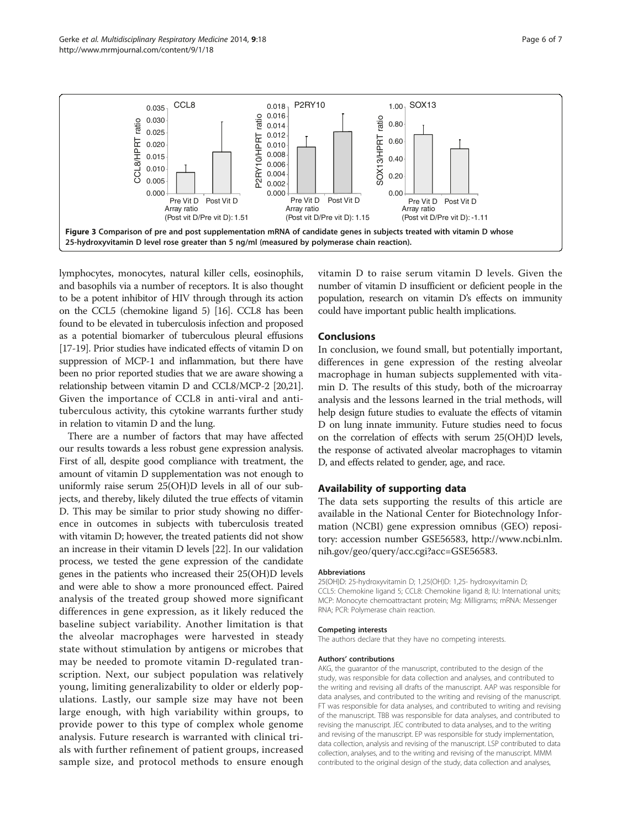<span id="page-5-0"></span>

lymphocytes, monocytes, natural killer cells, eosinophils, and basophils via a number of receptors. It is also thought to be a potent inhibitor of HIV through through its action on the CCL5 (chemokine ligand 5) [\[16\]](#page-6-0). CCL8 has been found to be elevated in tuberculosis infection and proposed as a potential biomarker of tuberculous pleural effusions [[17](#page-6-0)-[19\]](#page-6-0). Prior studies have indicated effects of vitamin D on suppression of MCP-1 and inflammation, but there have been no prior reported studies that we are aware showing a relationship between vitamin D and CCL8/MCP-2 [[20,21](#page-6-0)]. Given the importance of CCL8 in anti-viral and antituberculous activity, this cytokine warrants further study in relation to vitamin D and the lung.

There are a number of factors that may have affected our results towards a less robust gene expression analysis. First of all, despite good compliance with treatment, the amount of vitamin D supplementation was not enough to uniformly raise serum 25(OH)D levels in all of our subjects, and thereby, likely diluted the true effects of vitamin D. This may be similar to prior study showing no difference in outcomes in subjects with tuberculosis treated with vitamin D; however, the treated patients did not show an increase in their vitamin D levels [\[22\]](#page-6-0). In our validation process, we tested the gene expression of the candidate genes in the patients who increased their 25(OH)D levels and were able to show a more pronounced effect. Paired analysis of the treated group showed more significant differences in gene expression, as it likely reduced the baseline subject variability. Another limitation is that the alveolar macrophages were harvested in steady state without stimulation by antigens or microbes that may be needed to promote vitamin D-regulated transcription. Next, our subject population was relatively young, limiting generalizability to older or elderly populations. Lastly, our sample size may have not been large enough, with high variability within groups, to provide power to this type of complex whole genome analysis. Future research is warranted with clinical trials with further refinement of patient groups, increased sample size, and protocol methods to ensure enough

vitamin D to raise serum vitamin D levels. Given the number of vitamin D insufficient or deficient people in the population, research on vitamin D's effects on immunity could have important public health implications.

#### Conclusions

In conclusion, we found small, but potentially important, differences in gene expression of the resting alveolar macrophage in human subjects supplemented with vitamin D. The results of this study, both of the microarray analysis and the lessons learned in the trial methods, will help design future studies to evaluate the effects of vitamin D on lung innate immunity. Future studies need to focus on the correlation of effects with serum 25(OH)D levels, the response of activated alveolar macrophages to vitamin D, and effects related to gender, age, and race.

#### Availability of supporting data

The data sets supporting the results of this article are available in the National Center for Biotechnology Information (NCBI) gene expression omnibus (GEO) repository: accession number GSE56583, [http://www.ncbi.nlm.](http://www.ncbi.nlm.nih.gov/geo/query/acc.cgi?acc=GSE56583) [nih.gov/geo/query/acc.cgi?acc=GSE56583](http://www.ncbi.nlm.nih.gov/geo/query/acc.cgi?acc=GSE56583).

#### Abbreviations

25(OH)D: 25-hydroxyvitamin D; 1,25(OH)D: 1,25- hydroxyvitamin D; CCL5: Chemokine ligand 5; CCL8: Chemokine ligand 8; IU: International units; MCP: Monocyte chemoattractant protein; Mg: Milligrams; mRNA: Messenger RNA; PCR: Polymerase chain reaction.

#### Competing interests

The authors declare that they have no competing interests.

#### Authors' contributions

AKG, the guarantor of the manuscript, contributed to the design of the study, was responsible for data collection and analyses, and contributed to the writing and revising all drafts of the manuscript. AAP was responsible for data analyses, and contributed to the writing and revising of the manuscript. FT was responsible for data analyses, and contributed to writing and revising of the manuscript. TBB was responsible for data analyses, and contributed to revising the manuscript. JEC contributed to data analyses, and to the writing and revising of the manuscript. EP was responsible for study implementation, data collection, analysis and revising of the manuscript. LSP contributed to data collection, analyses, and to the writing and revising of the manuscript. MMM contributed to the original design of the study, data collection and analyses,